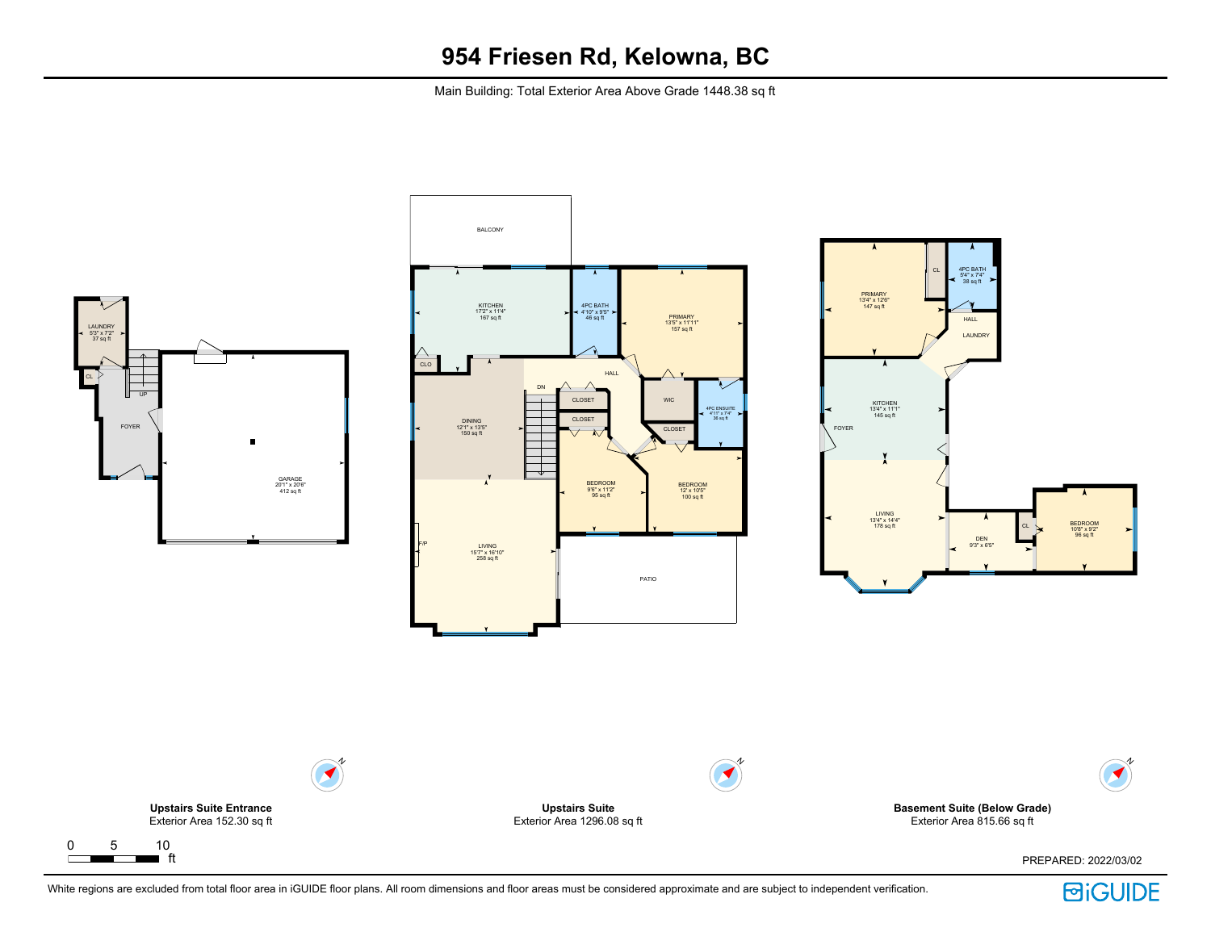Main Building: Total Exterior Area Above Grade 1448.38 sq ft



White regions are excluded from total floor area in iGUIDE floor plans. All room dimensions and floor areas must be considered approximate and are subject to independent verification.

**BiGUIDE**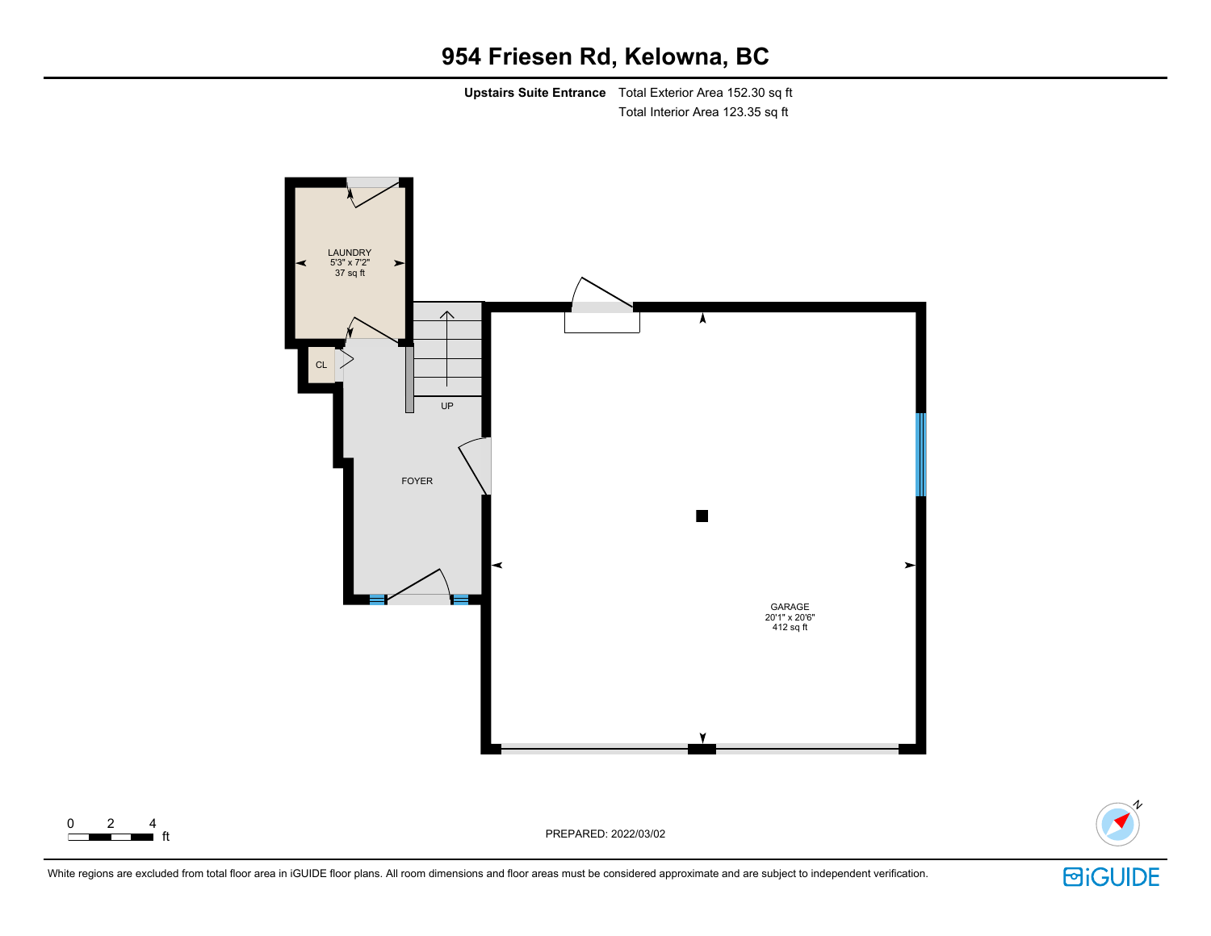# **954 Friesen Rd, Kelowna, BC**

**Upstairs Suite Entrance** Total Exterior Area 152.30 sq ft Total Interior Area 123.35 sq ft





White regions are excluded from total floor area in iGUIDE floor plans. All room dimensions and floor areas must be considered approximate and are subject to independent verification.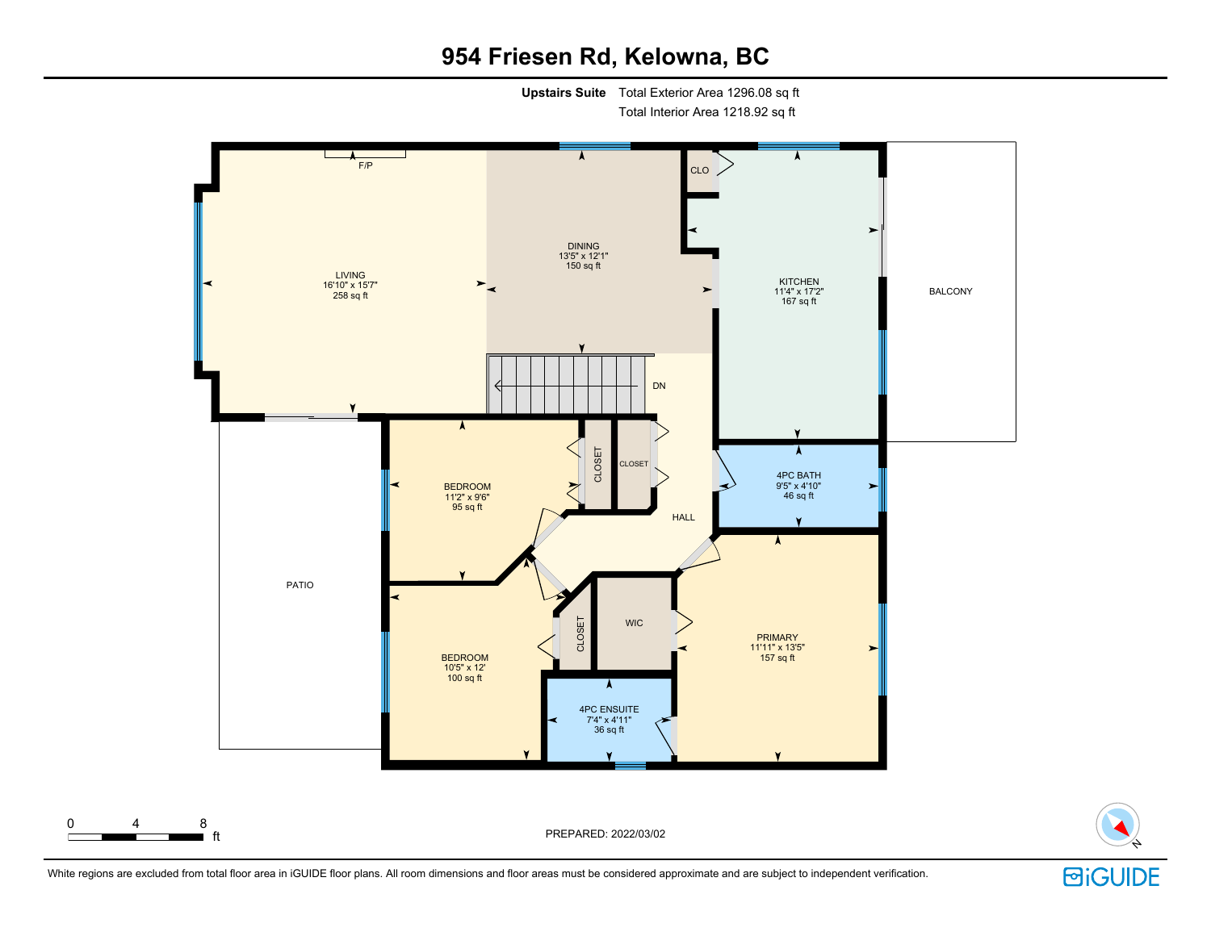# **954 Friesen Rd, Kelowna, BC**

**Upstairs Suite** Total Exterior Area 1296.08 sq ft

Total Interior Area 1218.92 sq ft





White regions are excluded from total floor area in iGUIDE floor plans. All room dimensions and floor areas must be considered approximate and are subject to independent verification.

**回iGUIDE**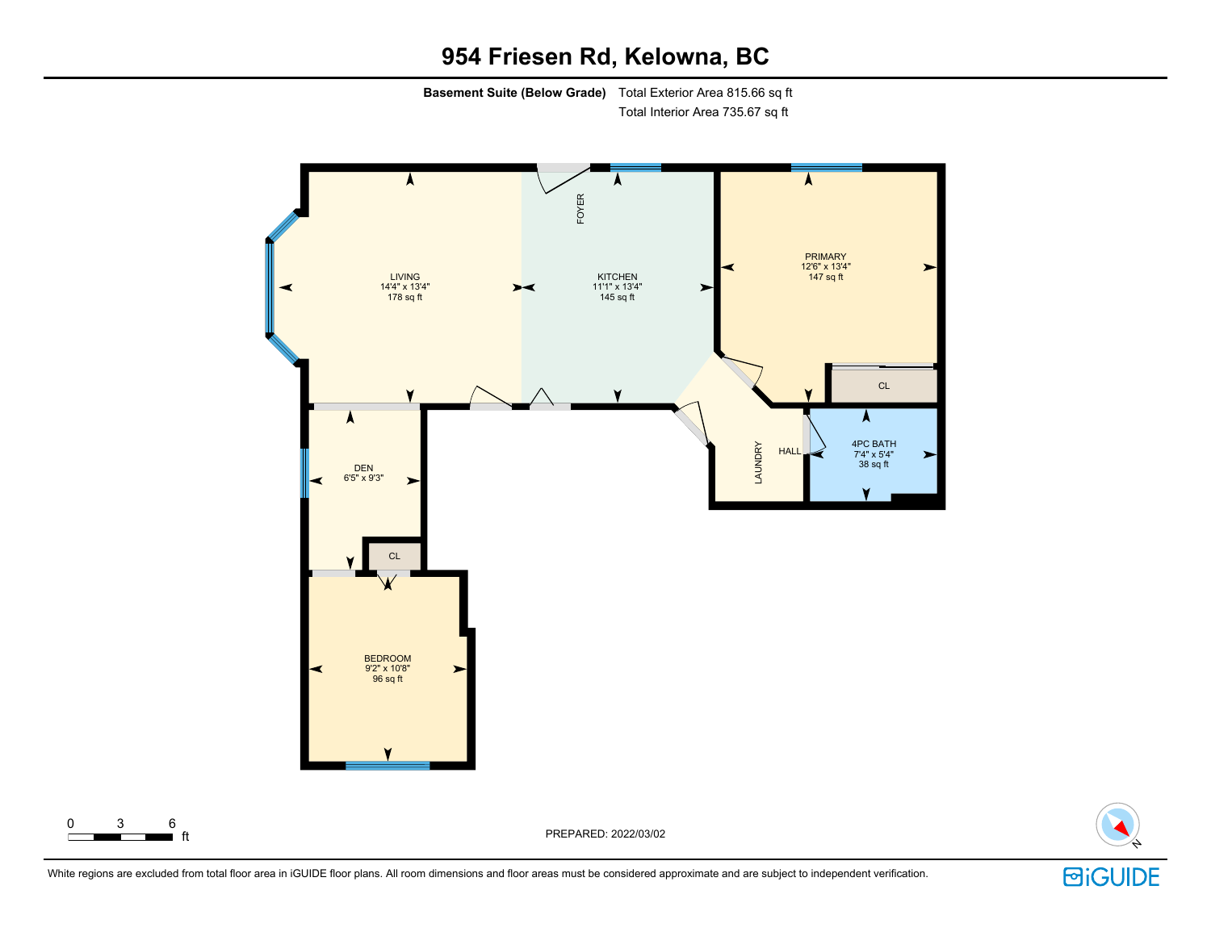# **954 Friesen Rd, Kelowna, BC**

**Basement Suite (Below Grade)** Total Exterior Area 815.66 sq ft Total Interior Area 735.67 sq ft





White regions are excluded from total floor area in iGUIDE floor plans. All room dimensions and floor areas must be considered approximate and are subject to independent verification.

0 3 6<br><del>0 3 6</del> ft

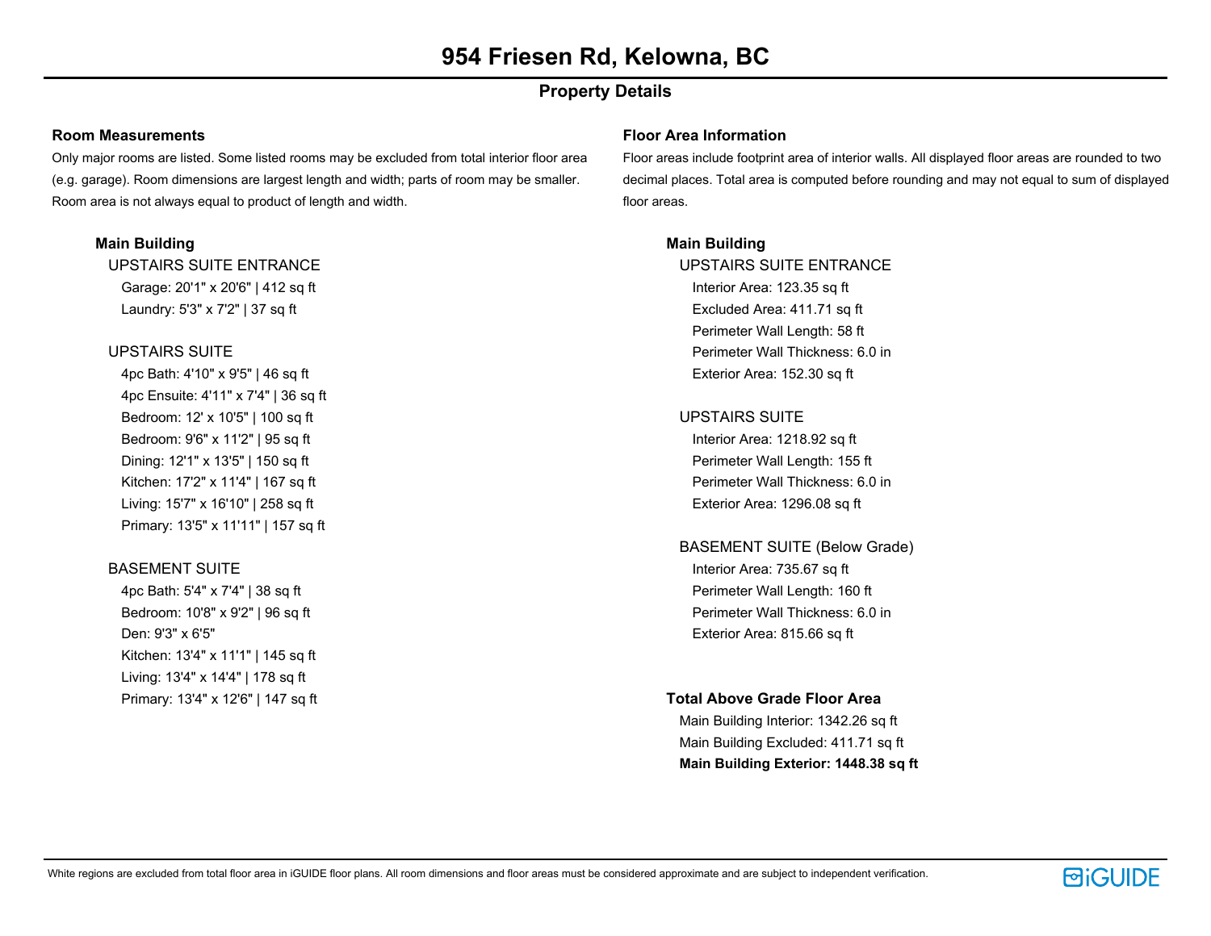# **Property Details**

#### **Room Measurements**

Only major rooms are listed. Some listed rooms may be excluded from total interior floor area (e.g. garage). Room dimensions are largest length and width; parts of room may be smaller. Room area is not always equal to product of length and width.

## **Main Building**

UPSTAIRS SUITE ENTRANCE Garage: 20'1" x 20'6" | 412 sq ft Laundry: 5'3" x 7'2" | 37 sq ft

## UPSTAIRS SUITE

4pc Bath: 4'10" x 9'5" | 46 sq ft 4pc Ensuite: 4'11" x 7'4" | 36 sq ft Bedroom: 12' x 10'5" | 100 sq ft Bedroom: 9'6" x 11'2" | 95 sq ft Dining: 12'1" x 13'5" | 150 sq ft Kitchen: 17'2" x 11'4" | 167 sq ft Living: 15'7" x 16'10" | 258 sq ft Primary: 13'5" x 11'11" | 157 sq ft

## BASEMENT SUITE

4pc Bath: 5'4" x 7'4" | 38 sq ft Bedroom: 10'8" x 9'2" | 96 sq ft Den: 9'3" x 6'5" Kitchen: 13'4" x 11'1" | 145 sq ft Living: 13'4" x 14'4" | 178 sq ft Primary: 13'4" x 12'6" | 147 sq ft

#### **Floor Area Information**

Floor areas include footprint area of interior walls. All displayed floor areas are rounded to two decimal places. Total area is computed before rounding and may not equal to sum of displayed floor areas.

## **Main Building**

UPSTAIRS SUITE ENTRANCE Interior Area: 123.35 sq ft Excluded Area: 411.71 sq ft Perimeter Wall Length: 58 ft Perimeter Wall Thickness: 6.0 in Exterior Area: 152.30 sq ft

## UPSTAIRS SUITE

Interior Area: 1218.92 sq ft Perimeter Wall Length: 155 ft Perimeter Wall Thickness: 6.0 in Exterior Area: 1296.08 sq ft

# BASEMENT SUITE (Below Grade) Interior Area: 735.67 sq ft Perimeter Wall Length: 160 ft Perimeter Wall Thickness: 6.0 in Exterior Area: 815.66 sq ft

## **Total Above Grade Floor Area**

Main Building Interior: 1342.26 sq ft Main Building Excluded: 411.71 sq ft **Main Building Exterior: 1448.38 sq ft**